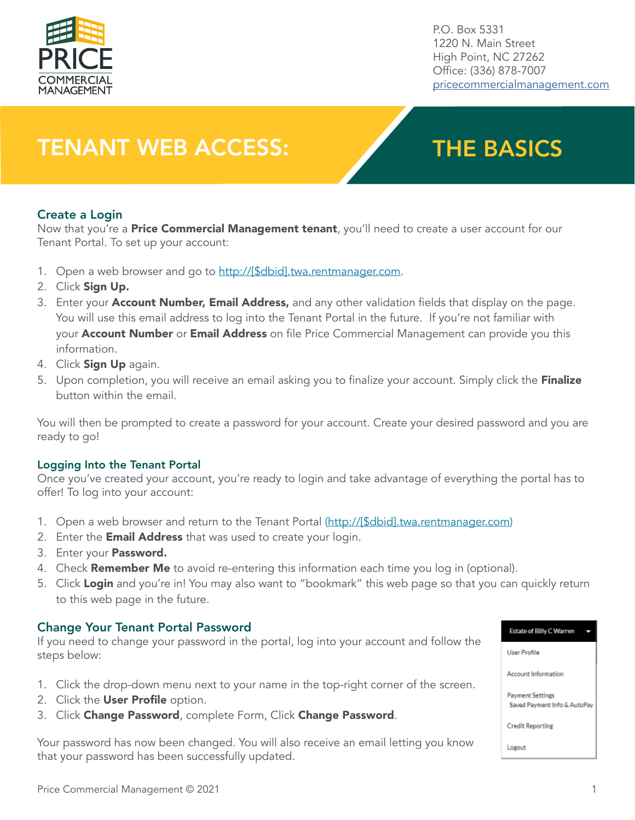

P.O. Box 5331 1220 N. Main Street High Point, NC 27262 Office: (336) 878-7007 [pricecommercialmanagement.com](mailto:http://pricecommercialmanagement.com/?subject=)

# TENANT WEB ACCESS: THE BASICS

#### Create a Login

Now that you're a **Price Commercial Management tenant**, you'll need to create a user account for our Tenant Portal. To set up your account:

- 1. Open a web browser and go to [http://\[\\$dbid\].twa.rentmanager.com](mailto:https://pricecm.twa.rentmanager.com/?subject=).
- 2. Click Sign Up.
- 3. Enter your **Account Number, Email Address,** and any other validation fields that display on the page. You will use this email address to log into the Tenant Portal in the future. If you're not familiar with your **Account Number** or **Email Address** on file Price Commercial Management can provide you this information.
- 4. Click Sign Up again.
- 5. Upon completion, you will receive an email asking you to finalize your account. Simply click the **Finalize** button within the email.

You will then be prompted to create a password for your account. Create your desired password and you are ready to go!

#### Logging Into the Tenant Portal

Once you've created your account, you're ready to login and take advantage of everything the portal has to offer! To log into your account:

- 1. Open a web browser and return to the Tenant Portal [\(http://\[\\$dbid\].twa.rentmanager.com\)](mailto:https://pricecm.twa.rentmanager.com/?subject=)
- 2. Enter the **Email Address** that was used to create your login.
- 3. Enter your Password.
- 4. Check **Remember Me** to avoid re-entering this information each time you log in (optional).
- 5. Click Login and you're in! You may also want to "bookmark" this web page so that you can quickly return to this web page in the future.

#### Change Your Tenant Portal Password

If you need to change your password in the portal, log into your account and follow the steps below:

- 1. Click the drop-down menu next to your name in the top-right corner of the screen.
- 2. Click the User Profile option.
- 3. Click Change Password, complete Form, Click Change Password.

Your password has now been changed. You will also receive an email letting you know that your password has been successfully updated.

Estate of Billy C Warren

**User Profile** 

**Account Information** 

**Payment Settings** Saved Payment Info & AutoPay

**Credit Reporting** 

Logout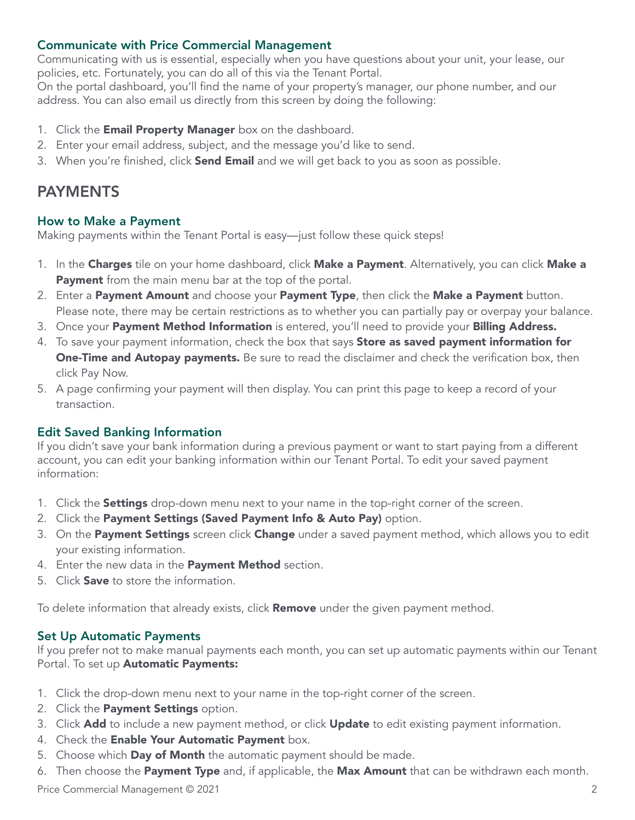### Communicate with Price Commercial Management

Communicating with us is essential, especially when you have questions about your unit, your lease, our policies, etc. Fortunately, you can do all of this via the Tenant Portal.

On the portal dashboard, you'll find the name of your property's manager, our phone number, and our address. You can also email us directly from this screen by doing the following:

- 1. Click the **Email Property Manager** box on the dashboard.
- 2. Enter your email address, subject, and the message you'd like to send.
- 3. When you're finished, click **Send Email** and we will get back to you as soon as possible.

## PAYMENTS

#### How to Make a Payment

Making payments within the Tenant Portal is easy—just follow these quick steps!

- 1. In the Charges tile on your home dashboard, click Make a Payment. Alternatively, you can click Make a **Payment** from the main menu bar at the top of the portal.
- 2. Enter a Payment Amount and choose your Payment Type, then click the Make a Payment button. Please note, there may be certain restrictions as to whether you can partially pay or overpay your balance.
- 3. Once your Payment Method Information is entered, you'll need to provide your Billing Address.
- 4. To save your payment information, check the box that says **Store as saved payment information for** One-Time and Autopay payments. Be sure to read the disclaimer and check the verification box, then click Pay Now.
- 5. A page confirming your payment will then display. You can print this page to keep a record of your transaction.

### Edit Saved Banking Information

If you didn't save your bank information during a previous payment or want to start paying from a different account, you can edit your banking information within our Tenant Portal. To edit your saved payment information:

- 1. Click the **Settings** drop-down menu next to your name in the top-right corner of the screen.
- 2. Click the Payment Settings (Saved Payment Info & Auto Pay) option.
- 3. On the Payment Settings screen click Change under a saved payment method, which allows you to edit your existing information.
- 4. Enter the new data in the **Payment Method** section.
- 5. Click **Save** to store the information.

To delete information that already exists, click **Remove** under the given payment method.

### Set Up Automatic Payments

If you prefer not to make manual payments each month, you can set up automatic payments within our Tenant Portal. To set up **Automatic Payments:** 

- 1. Click the drop-down menu next to your name in the top-right corner of the screen.
- 2. Click the Payment Settings option.
- 3. Click **Add** to include a new payment method, or click **Update** to edit existing payment information.
- 4. Check the Enable Your Automatic Payment box.
- 5. Choose which **Day of Month** the automatic payment should be made.
- 6. Then choose the Payment Type and, if applicable, the Max Amount that can be withdrawn each month.

Price Commercial Management © 2021 2